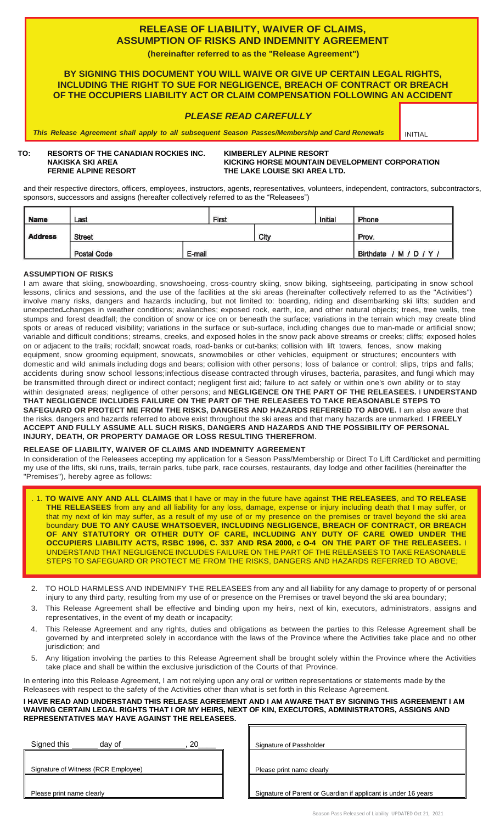## **RELEASE OF LIABILITY, WAIVER OF CLAIMS, ASSUMPTION OF RISKS AND INDEMNITY AGREEMENT**

**(hereinafter referred to as the "Release Agreement")**

**BY SIGNING THIS DOCUMENT YOU WILL WAIVE OR GIVE UP CERTAIN LEGAL RIGHTS, INCLUDING THE RIGHT TO SUE FOR NEGLIGENCE, BREACH OF CONTRACT OR BREACH OF THE OCCUPIERS LIABILITY ACT OR CLAIM COMPENSATION FOLLOWING AN ACCIDENT**

#### *PLEASE READ CAREFULLY*

*This Release Agreement shall apply to all subsequent Season Passes/Membership and Card Renewals* INITIAL

# **TO: RESORTS OF THE CANADIAN ROCKIES INC. KIMBERLEY ALPINE RESORT**

**KICKING HORSE MOUNTAIN DEVELOPMENT CORPORATION FERNIE ALPINE RESORT THE LAKE LOUISE SKI AREA LTD.**

and their respective directors, officers, employees, instructors, agents, representatives, volunteers, independent, contractors, subcontractors, sponsors, successors and assigns (hereafter collectively referred to as the "Releasees")

| <b>Name</b>    | Last               |        | First |      | Initial | Phone                     |
|----------------|--------------------|--------|-------|------|---------|---------------------------|
| <b>Address</b> | <b>Street</b>      |        |       | City |         | Prov.                     |
|                | <b>Postal Code</b> | E-mail |       |      |         | <b>Birthdate</b><br>M/D/Y |

#### **ASSUMPTION OF RISKS**

I am aware that skiing, snowboarding, snowshoeing, cross-country skiing, snow biking, sightseeing, participating in snow school lessons, clinics and sessions, and the use of the facilities at the ski areas (hereinafter collectively referred to as the "Activities") involve many risks, dangers and hazards including, but not limited to: boarding, riding and disembarking ski lifts; sudden and unexpected changes in weather conditions; avalanches; exposed rock, earth, ice, and other natural objects; trees, tree wells, tree stumps and forest deadfall; the condition of snow or ice on or beneath the surface; variations in the terrain which may create blind spots or areas of reduced visibility; variations in the surface or sub-surface, including changes due to man-made or artificial snow; variable and difficult conditions; streams, creeks, and exposed holes in the snow pack above streams or creeks; cliffs; exposed holes on or adjacent to the trails; rockfall; snowcat roads, road-banks or cut-banks; collision with lift towers, fences, snow making equipment, snow grooming equipment, snowcats, snowmobiles or other vehicles, equipment or structures; encounters with domestic and wild animals including dogs and bears; collision with other persons; loss of balance or control; slips, trips and falls; accidents during snow school lessons;infectious disease contracted through viruses, bacteria, parasites, and fungi which may be transmitted through direct or indirect contact; negligent first aid; failure to act safely or within one's own ability or to stay within designated areas; negligence of other persons; and **NEGLIGENCE ON THE PART OF THE RELEASEES.** I **UNDERSTAND THAT NEGLIGENCE INCLUDES FAILURE ON THE PART OF THE RELEASEES TO TAKE REASONABLE STEPS TO SAFEGUARD OR PROTECT ME FROM THE RISKS, DANGERS AND HAZARDS REFERRED TO ABOVE.** I am also aware that the risks, dangers and hazards referred to above exist throughout the ski areas and that many hazards are unmarked. **I FREELY ACCEPT AND FULLY ASSUME ALL SUCH RISKS, DANGERS AND HAZARDS AND THE POSSIBILITY OF PERSONAL INJURY, DEATH, OR PROPERTY DAMAGE OR LOSS RESULTING THEREFROM**.

#### **RELEASE OF LIABILITY, WAIVER OF CLAIMS AND INDEMNITY AGREEMENT**

In consideration of the Releasees accepting my application for a Season Pass/Membership or Direct To Lift Card/ticket and permitting my use of the lifts, ski runs, trails, terrain parks, tube park, race courses, restaurants, day lodge and other facilities (hereinafter the "Premises"), hereby agree as follows:

- . 1. **TO WAIVE ANY AND ALL CLAIMS** that I have or may in the future have against **THE RELEASEES**, and **TO RELEASE THE RELEASEES** from any and all liability for any loss, damage, expense or injury including death that I may suffer, or that my next of kin may suffer, as a result of my use of or my presence on the premises or travel beyond the ski area boundary **DUE TO ANY CAUSE WHATSOEVER, INCLUDING NEGLIGENCE, BREACH OF CONTRACT, OR BREACH OF ANY STATUTORY OR OTHER DUTY OF CARE, INCLUDING ANY DUTY OF CARE OWED UNDER THE OCCUPIERS LIABILITY ACTS, RSBC 1996, C. 337 AND RSA 2000, c O-4 ON THE PART OF THE RELEASEES.** I UNDERSTAND THAT NEGLIGENCE INCLUDES FAILURE ON THE PART OF THE RELEASEES TO TAKE REASONABLE STEPS TO SAFEGUARD OR PROTECT ME FROM THE RISKS, DANGERS AND HAZARDS REFERRED TO ABOVE;
- 2. TO HOLD HARMLESS AND INDEMNIFY THE RELEASEES from any and all liability for any damage to property of or personal injury to any third party, resulting from my use of or presence on the Premises or travel beyond the ski area boundary;
- 3. This Release Agreement shall be effective and binding upon my heirs, next of kin, executors, administrators, assigns and representatives, in the event of my death or incapacity;
- 4. This Release Agreement and any rights, duties and obligations as between the parties to this Release Agreement shall be governed by and interpreted solely in accordance with the laws of the Province where the Activities take place and no other jurisdiction; and
- 5. Any litigation involving the parties to this Release Agreement shall be brought solely within the Province where the Activities take place and shall be within the exclusive jurisdiction of the Courts of that Province.

In entering into this Release Agreement, I am not relying upon any oral or written representations or statements made by the Releasees with respect to the safety of the Activities other than what is set forth in this Release Agreement.

**I HAVE READ AND UNDERSTAND THIS RELEASE AGREEMENT AND I AM AWARE THAT BY SIGNING THIS AGREEMENT I AM WAIVING CERTAIN LEGAL RIGHTS THAT I OR MY HEIRS, NEXT OF KIN, EXECUTORS, ADMINISTRATORS, ASSIGNS AND REPRESENTATIVES MAY HAVE AGAINST THE RELEASEES.** 

| Signed this                         | day of |  |  |  |  |
|-------------------------------------|--------|--|--|--|--|
|                                     |        |  |  |  |  |
| Signature of Witness (RCR Employee) |        |  |  |  |  |
|                                     |        |  |  |  |  |
| Please print name clearly           |        |  |  |  |  |

Signature of Passholder

Please print name clearly

Signature of Parent or Guardian if applicant is under 16 years